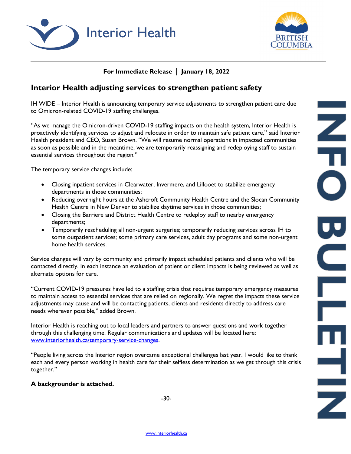



## **For Immediate Release** | **January 18, 2022**

# **Interior Health adjusting services to strengthen patient safety**

IH WIDE – Interior Health is announcing temporary service adjustments to strengthen patient care due to Omicron-related COVID-19 staffing challenges.

"As we manage the Omicron-driven COVID-19 staffing impacts on the health system, Interior Health is proactively identifying services to adjust and relocate in order to maintain safe patient care," said Interior Health president and CEO, Susan Brown. "We will resume normal operations in impacted communities as soon as possible and in the meantime, we are temporarily reassigning and redeploying staff to sustain essential services throughout the region."

The temporary service changes include:

- Closing inpatient services in Clearwater, Invermere, and Lillooet to stabilize emergency departments in those communities;
- Reducing overnight hours at the Ashcroft Community Health Centre and the Slocan Community Health Centre in New Denver to stabilize daytime services in those communities;
- Closing the Barriere and District Health Centre to redeploy staff to nearby emergency departments;
- Temporarily rescheduling all non-urgent surgeries; temporarily reducing services across IH to some outpatient services; some primary care services, adult day programs and some non-urgent home health services.

Service changes will vary by community and primarily impact scheduled patients and clients who will be contacted directly. In each instance an evaluation of patient or client impacts is being reviewed as well as alternate options for care.

"Current COVID-19 pressures have led to a staffing crisis that requires temporary emergency measures to maintain access to essential services that are relied on regionally. We regret the impacts these service adjustments may cause and will be contacting patients, clients and residents directly to address care needs wherever possible," added Brown.

Interior Health is reaching out to local leaders and partners to answer questions and work together through this challenging time. Regular communications and updates will be located here: [www.interiorhealth.ca/temporary-service-changes.](http://www.interiorhealth.ca/temporary-service-changes)

"People living across the Interior region overcame exceptional challenges last year. I would like to thank each and every person working in health care for their selfless determination as we get through this crisis together."

#### **A backgrounder is attached.**

-30-